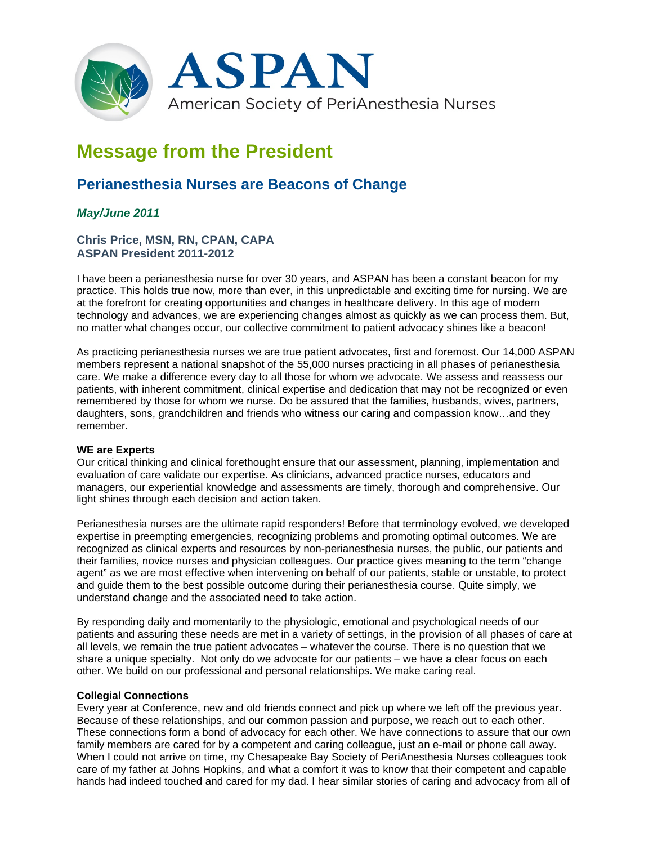

# **Message from the President**

# **Perianesthesia Nurses are Beacons of Change**

## *May/June 2011*

### **Chris Price, MSN, RN, CPAN, CAPA ASPAN President 2011-2012**

I have been a perianesthesia nurse for over 30 years, and ASPAN has been a constant beacon for my practice. This holds true now, more than ever, in this unpredictable and exciting time for nursing. We are at the forefront for creating opportunities and changes in healthcare delivery. In this age of modern technology and advances, we are experiencing changes almost as quickly as we can process them. But, no matter what changes occur, our collective commitment to patient advocacy shines like a beacon!

As practicing perianesthesia nurses we are true patient advocates, first and foremost. Our 14,000 ASPAN members represent a national snapshot of the 55,000 nurses practicing in all phases of perianesthesia care. We make a difference every day to all those for whom we advocate. We assess and reassess our patients, with inherent commitment, clinical expertise and dedication that may not be recognized or even remembered by those for whom we nurse. Do be assured that the families, husbands, wives, partners, daughters, sons, grandchildren and friends who witness our caring and compassion know…and they remember.

#### **WE are Experts**

Our critical thinking and clinical forethought ensure that our assessment, planning, implementation and evaluation of care validate our expertise. As clinicians, advanced practice nurses, educators and managers, our experiential knowledge and assessments are timely, thorough and comprehensive. Our light shines through each decision and action taken.

Perianesthesia nurses are the ultimate rapid responders! Before that terminology evolved, we developed expertise in preempting emergencies, recognizing problems and promoting optimal outcomes. We are recognized as clinical experts and resources by non-perianesthesia nurses, the public, our patients and their families, novice nurses and physician colleagues. Our practice gives meaning to the term "change agent" as we are most effective when intervening on behalf of our patients, stable or unstable, to protect and guide them to the best possible outcome during their perianesthesia course. Quite simply, we understand change and the associated need to take action.

By responding daily and momentarily to the physiologic, emotional and psychological needs of our patients and assuring these needs are met in a variety of settings, in the provision of all phases of care at all levels, we remain the true patient advocates – whatever the course. There is no question that we share a unique specialty. Not only do we advocate for our patients – we have a clear focus on each other. We build on our professional and personal relationships. We make caring real.

#### **Collegial Connections**

Every year at Conference, new and old friends connect and pick up where we left off the previous year. Because of these relationships, and our common passion and purpose, we reach out to each other. These connections form a bond of advocacy for each other. We have connections to assure that our own family members are cared for by a competent and caring colleague, just an e-mail or phone call away. When I could not arrive on time, my Chesapeake Bay Society of PeriAnesthesia Nurses colleagues took care of my father at Johns Hopkins, and what a comfort it was to know that their competent and capable hands had indeed touched and cared for my dad. I hear similar stories of caring and advocacy from all of